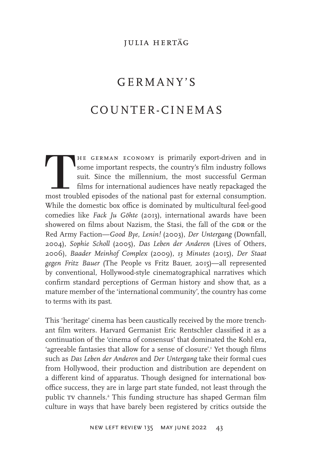#### julia hertÄg

# GERMANY'S COUNTER-CINEMAS

THE GERMAN ECONOMY is primarily export-driven and in some important respects, the country's film industry follows suit. Since the millennium, the most successful German films for international audiences have neatly repacka some important respects, the country's film industry follows suit. Since the millennium, the most successful German films for international audiences have neatly repackaged the most troubled episodes of the national past for external consumption. While the domestic box office is dominated by multicultural feel-good comedies like *Fack Ju Göhte* (2013), international awards have been showered on films about Nazism, the Stasi, the fall of the GDR or the Red Army Faction—*Good Bye, Lenin!* (2003), *Der Untergang* (Downfall, 2004), *Sophie Scholl* (2005), *Das Leben der Anderen* (Lives of Others, 2006), *Baader Meinhof Complex* (2009), *13 Minutes* (2015), *Der Staat gegen Fritz Bauer* (The People vs Fritz Bauer, 2015)—all represented by conventional, Hollywood-style cinematographical narratives which confirm standard perceptions of German history and show that, as a mature member of the 'international community', the country has come to terms with its past.

This 'heritage' cinema has been caustically received by the more trenchant film writers. Harvard Germanist Eric Rentschler classified it as a continuation of the 'cinema of consensus' that dominated the Kohl era, 'agreeable fantasies that allow for a sense of closure'.<sup>1</sup> Yet though films such as *Das Leben der Anderen* and *Der Untergang* take their formal cues from Hollywood, their production and distribution are dependent on a different kind of apparatus. Though designed for international boxoffice success, they are in large part state funded, not least through the public TV channels.<sup>2</sup> This funding structure has shaped German film culture in ways that have barely been registered by critics outside the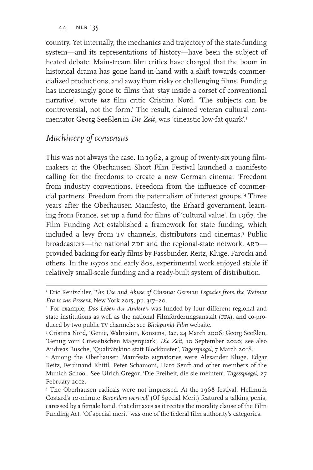country. Yet internally, the mechanics and trajectory of the state-funding system––and its representations of history—have been the subject of heated debate. Mainstream film critics have charged that the boom in historical drama has gone hand-in-hand with a shift towards commercialized productions, and away from risky or challenging films. Funding has increasingly gone to films that 'stay inside a corset of conventional narrative', wrote *taz* film critic Cristina Nord. 'The subjects can be controversial, not the form.' The result, claimed veteran cultural commentator Georg Seeßlen in *Die Zeit*, was 'cineastic low-fat quark'.3

#### *Machinery of consensus*

This was not always the case. In 1962, a group of twenty-six young filmmakers at the Oberhausen Short Film Festival launched a manifesto calling for the freedoms to create a new German cinema: 'Freedom from industry conventions. Freedom from the influence of commercial partners. Freedom from the paternalism of interest groups.'4 Three years after the Oberhausen Manifesto, the Erhard government, learning from France, set up a fund for films of 'cultural value'. In 1967, the Film Funding Act established a framework for state funding, which included a levy from TV channels, distributors and cinemas.<sup>5</sup> Public broadcasters—the national ZDF and the regional-state network, ARD provided backing for early films by Fassbinder, Reitz, Kluge, Farocki and others. In the 1970s and early 80s, experimental work enjoyed stable if relatively small-scale funding and a ready-built system of distribution.

<sup>&</sup>lt;sup>1</sup> Eric Rentschler, *The Use and Abuse of Cinema: German Legacies from the Weimar Era to the Present,* New York 2015, pp. 317–20.

<sup>2</sup> For example, *Das Leben der Anderen* was funded by four different regional and state institutions as well as the national Filmförderungsanstalt (ffa), and co-produced by two public tv channels: see *Blickpunkt Film* website.

<sup>3</sup> Cristina Nord, 'Genie, Wahnsinn, Konsens', *taz*, 24 March 2006; Georg Seeßlen, 'Genug vom Cineastischen Magerquark', *Die Zeit*, 10 September 2020; see also Andreas Busche, 'Qualitätskino statt Blockbuster', *Tagesspiegel*, 7 March 2018.

<sup>4</sup> Among the Oberhausen Manifesto signatories were Alexander Kluge, Edgar Reitz, Ferdinand Khittl, Peter Schamoni, Haro Senft and other members of the Munich School. See Ulrich Gregor, 'Die Freiheit, die sie meinten', *Tagesspiegel,* 27 February 2012.

<sup>&</sup>lt;sup>5</sup> The Oberhausen radicals were not impressed. At the 1968 festival, Hellmuth Costard's 10-minute *Besonders wertvoll* (Of Special Merit) featured a talking penis, caressed by a female hand, that climaxes as it recites the morality clause of the Film Funding Act. 'Of special merit' was one of the federal film authority's categories.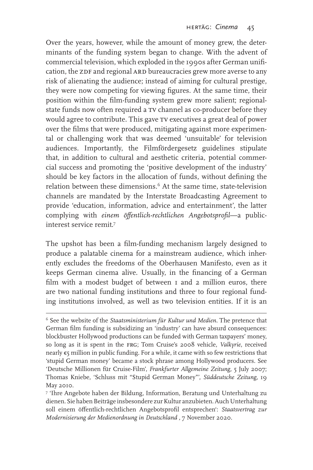Over the years, however, while the amount of money grew, the determinants of the funding system began to change. With the advent of commercial television, which exploded in the 1990s after German unification, the ZDF and regional ARD bureaucracies grew more averse to any risk of alienating the audience; instead of aiming for cultural prestige, they were now competing for viewing figures. At the same time, their position within the film-funding system grew more salient; regionalstate funds now often required a tv channel as co-producer before they would agree to contribute. This gave tv executives a great deal of power over the films that were produced, mitigating against more experimental or challenging work that was deemed 'unsuitable' for television audiences. Importantly, the Filmfördergesetz guidelines stipulate that, in addition to cultural and aesthetic criteria, potential commercial success and promoting the 'positive development of the industry' should be key factors in the allocation of funds, without defining the relation between these dimensions.<sup>6</sup> At the same time, state-television channels are mandated by the Interstate Broadcasting Agreement to provide 'education, information, advice and entertainment', the latter complying with *einem öffentlich-rechtlichen Angebotsprofil*—a publicinterest service remit?

The upshot has been a film-funding mechanism largely designed to produce a palatable cinema for a mainstream audience, which inherently excludes the freedoms of the Oberhausen Manifesto, even as it keeps German cinema alive. Usually, in the financing of a German film with a modest budget of between 1 and 2 million euros, there are two national funding institutions and three to four regional funding institutions involved, as well as two television entities. If it is an

<sup>6</sup> See the website of the *Staatsministerium für Kultur und Medien*. The pretence that German film funding is subsidizing an 'industry' can have absurd consequences: blockbuster Hollywood productions can be funded with German taxpayers' money, so long as it is spent in the frg; Tom Cruise's 2008 vehicle, *Valkyrie*, received nearly €5 million in public funding. For a while, it came with so few restrictions that 'stupid German money' became a stock phrase among Hollywood producers. See 'Deutsche Millionen für Cruise-Film', *Frankfurter Allgemeine Zeitung*, 5 July 2007; Thomas Kniebe, 'Schluss mit "Stupid German Money"', *Süddeutsche Zeitung*, 19 May 2010.

<sup>7</sup> 'Ihre Angebote haben der Bildung, Information, Beratung und Unterhaltung zu dienen. Sie haben Beiträge insbesondere zur Kultur anzubieten. Auch Unterhaltung soll einem öffentlich-rechtlichen Angebotsprofil entsprechen': *Staatsvertrag zur Modernisierung der Medienordnung in Deutschland, 7 November 2020.*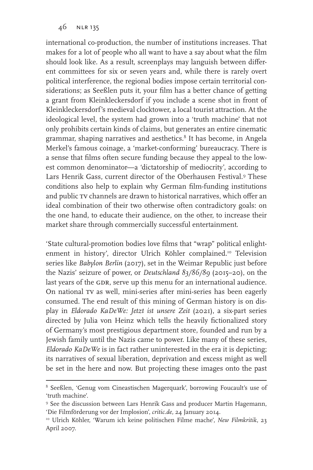international co-production, the number of institutions increases. That makes for a lot of people who all want to have a say about what the film should look like. As a result, screenplays may languish between different committees for six or seven years and, while there is rarely overt political interference, the regional bodies impose certain territorial considerations; as Seeßlen puts it, your film has a better chance of getting a grant from Kleinkleckersdorf if you include a scene shot in front of Kleinkleckersdorf's medieval clocktower, a local tourist attraction. At the ideological level, the system had grown into a 'truth machine' that not only prohibits certain kinds of claims, but generates an entire cinematic grammar, shaping narratives and aesthetics.<sup>8</sup> It has become, in Angela Merkel's famous coinage, a 'market-conforming' bureaucracy. There is a sense that films often secure funding because they appeal to the lowest common denominator—a 'dictatorship of mediocrity', according to Lars Henrik Gass, current director of the Oberhausen Festival.9 These conditions also help to explain why German film-funding institutions and public tv channels are drawn to historical narratives, which offer an ideal combination of their two otherwise often contradictory goals: on the one hand, to educate their audience, on the other, to increase their market share through commercially successful entertainment.

'State cultural-promotion bodies love films that "wrap" political enlightenment in history', director Ulrich Köhler complained.<sup>10</sup> Television series like *Babylon Berlin* (2017), set in the Weimar Republic just before the Nazis' seizure of power, or *Deutschland 83/86/89* (2015–20), on the last years of the GDR, serve up this menu for an international audience. On national tv as well, mini-series after mini-series has been eagerly consumed. The end result of this mining of German history is on display in *Eldorado KaDeWe: Jetzt ist unsere Zeit* (2021), a six-part series directed by Julia von Heinz which tells the heavily fictionalized story of Germany's most prestigious department store, founded and run by a Jewish family until the Nazis came to power. Like many of these series, *Eldorado KaDeWe* is in fact rather uninterested in the era it is depicting; its narratives of sexual liberation, deprivation and excess might as well be set in the here and now. But projecting these images onto the past

<sup>8</sup> Seeßlen, 'Genug vom Cineastischen Magerquark', borrowing Foucault's use of 'truth machine'.

<sup>9</sup> See the discussion between Lars Henrik Gass and producer Martin Hagemann, 'Die Filmförderung vor der Implosion', *critic.de,* 24 January 2014.

<sup>10</sup> Ulrich Köhler, 'Warum ich keine politischen Filme mache', *New Filmkritik*, 23 April 2007.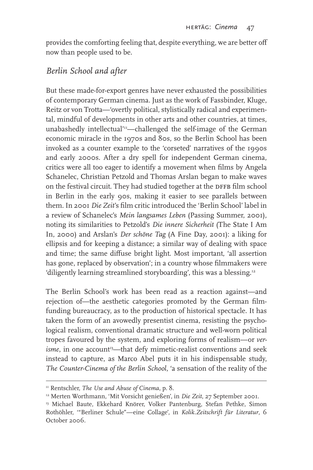provides the comforting feeling that, despite everything, we are better off now than people used to be.

#### *Berlin School and after*

But these made-for-export genres have never exhausted the possibilities of contemporary German cinema. Just as the work of Fassbinder, Kluge, Reitz or von Trotta—'overtly political, stylistically radical and experimental, mindful of developments in other arts and other countries, at times, unabashedly intellectual'<sup>11</sup>-challenged the self-image of the German economic miracle in the 1970s and 80s, so the Berlin School has been invoked as a counter example to the 'corseted' narratives of the 1990s and early 2000s. After a dry spell for independent German cinema, critics were all too eager to identify a movement when films by Angela Schanelec, Christian Petzold and Thomas Arslan began to make waves on the festival circuit. They had studied together at the DFFB film school in Berlin in the early 90s, making it easier to see parallels between them. In 2001 *Die Zeit*'s film critic introduced the 'Berlin School' label in a review of Schanelec's *Mein langsames Leben* (Passing Summer, 2001), noting its similarities to Petzold's *Die innere Sicherheit* (The State I Am In, 2000) and Arslan's *Der schöne Tag* (A Fine Day, 2001): a liking for ellipsis and for keeping a distance; a similar way of dealing with space and time; the same diffuse bright light. Most important, 'all assertion has gone, replaced by observation'; in a country whose filmmakers were 'diligently learning streamlined storyboarding', this was a blessing.<sup>12</sup>

The Berlin School's work has been read as a reaction against—and rejection of—the aesthetic categories promoted by the German filmfunding bureaucracy, as to the production of historical spectacle. It has taken the form of an avowedly presentist cinema, resisting the psychological realism, conventional dramatic structure and well-worn political tropes favoured by the system, and exploring forms of realism—or *verisme*, in one account<sup>13</sup>—that defy mimetic-realist conventions and seek instead to capture, as Marco Abel puts it in his indispensable study, *The Counter-Cinema of the Berlin School*, 'a sensation of the reality of the

<sup>&</sup>lt;sup>11</sup> Rentschler, *The Use and Abuse of Cinema*, p. 8.

<sup>12</sup> Merten Worthmann, 'Mit Vorsicht genießen', in *Die Zeit*, 27 September 2001.

<sup>&</sup>lt;sup>13</sup> Michael Baute, Ekkehard Knörer, Volker Pantenburg, Stefan Pethke, Simon Rothöhler, '"Berliner Schule"—eine Collage', in *Kolik.Zeitschrift für Literatur*, 6 October 2006.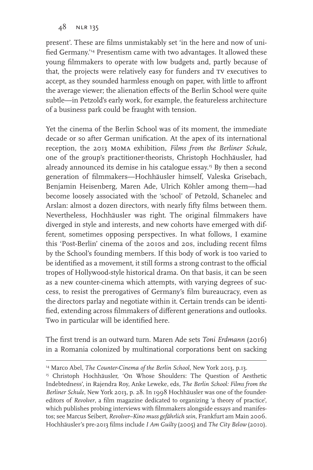present'. These are films unmistakably set 'in the here and now of unified Germany.'14 Presentism came with two advantages. It allowed these young filmmakers to operate with low budgets and, partly because of that, the projects were relatively easy for funders and tv executives to accept, as they sounded harmless enough on paper, with little to affront the average viewer; the alienation effects of the Berlin School were quite subtle—in Petzold's early work, for example, the featureless architecture of a business park could be fraught with tension.

Yet the cinema of the Berlin School was of its moment, the immediate decade or so after German unification. At the apex of its international reception, the 2013 moma exhibition, *Films from the Berliner Schule*, one of the group's practitioner-theorists, Christoph Hochhäusler, had already announced its demise in his catalogue essay.<sup>15</sup> By then a second generation of filmmakers—Hochhäusler himself, Valeska Grisebach, Benjamin Heisenberg, Maren Ade, Ulrich Köhler among them—had become loosely associated with the 'school' of Petzold, Schanelec and Arslan: almost a dozen directors, with nearly fifty films between them. Nevertheless, Hochhäusler was right. The original filmmakers have diverged in style and interests, and new cohorts have emerged with different, sometimes opposing perspectives. In what follows, I examine this 'Post-Berlin' cinema of the 2010s and 20s, including recent films by the School's founding members. If this body of work is too varied to be identified as a movement, it still forms a strong contrast to the official tropes of Hollywood-style historical drama. On that basis, it can be seen as a new counter-cinema which attempts, with varying degrees of success, to resist the prerogatives of Germany's film bureaucracy, even as the directors parlay and negotiate within it. Certain trends can be identified, extending across filmmakers of different generations and outlooks. Two in particular will be identified here.

The first trend is an outward turn. Maren Ade sets *Toni Erdmann* (2016) in a Romania colonized by multinational corporations bent on sacking

<sup>14</sup> Marco Abel, *The Counter-Cinema of the Berlin School*, New York 2013, p.13.

<sup>&</sup>lt;sup>15</sup> Christoph Hochhäusler, 'On Whose Shoulders: The Question of Aesthetic Indebtedness', in Rajendra Roy, Anke Leweke, eds, *The Berlin School: Films from the Berliner Schule*, New York 2013, p. 28. In 1998 Hochhäusler was one of the foundereditors of *Revolver*, a film magazine dedicated to organizing 'a theory of practice', which publishes probing interviews with filmmakers alongside essays and manifestos; see Marcus Seibert, *Revolver–Kino muss gefährlich sein*, Frankfurt am Main 2006. Hochhäusler's pre-2013 films include *I Am Guilty* (2005) and *The City Below* (2010).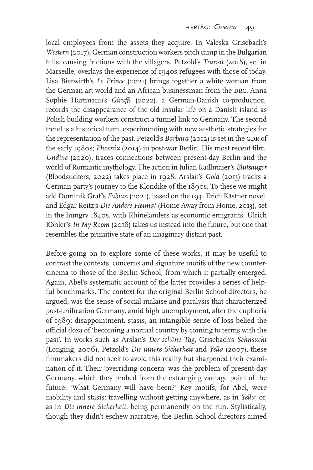local employees from the assets they acquire. In Valeska Grisebach's *Western* (2017), German construction workers pitch camp in the Bulgarian hills, causing frictions with the villagers. Petzold's *Transit* (2018), set in Marseille, overlays the experience of 1940s refugees with those of today. Lisa Bierwirth's *Le Prince* (2021) brings together a white woman from the German art world and an African businessman from the DRC. Anna Sophie Hartmann's *Giraffe* (2022), a German-Danish co-production, records the disappearance of the old insular life on a Danish island as Polish building workers construct a tunnel link to Germany. The second trend is a historical turn, experimenting with new aesthetic strategies for the representation of the past. Petzold's *Barbara* (2012) is set in the GDR of the early 1980s; *Phoenix* (2014) in post-war Berlin. His most recent film, *Undine* (2020), traces connections between present-day Berlin and the world of Romantic mythology. The action in Julian Radlmaier's *Blutsauger* (Bloodsuckers, 2022) takes place in 1928. Arslan's *Gold* (2013) tracks a German party's journey to the Klondike of the 1890s. To these we might add Dominik Graf's *Fabian* (2021), based on the 1931 Erich Kästner novel, and Edgar Reitz's *Die Andere Heimat* (Home Away from Home, 2013), set in the hungry 1840s, with Rhinelanders as economic emigrants. Ulrich Köhler's *In My Room* (2018) takes us instead into the future, but one that resembles the primitive state of an imaginary distant past.

Before going on to explore some of these works, it may be useful to contrast the contexts, concerns and signature motifs of the new countercinema to those of the Berlin School, from which it partially emerged. Again, Abel's systematic account of the latter provides a series of helpful benchmarks. The context for the original Berlin School directors, he argued, was the sense of social malaise and paralysis that characterized post-unification Germany, amid high unemployment, after the euphoria of 1989; disappointment, stasis, an intangible sense of loss belied the official doxa of 'becoming a normal country by coming to terms with the past'. In works such as Arslan's *Der schöne Tag*, Grisebach's *Sehnsucht* (Longing, 2006), Petzold's *Die innere Sicherheit* and *Yella* (2007), these filmmakers did not seek to avoid this reality but sharpened their examination of it. Their 'overriding concern' was the problem of present-day Germany, which they probed from the estranging vantage point of the future: 'What Germany will have been?' Key motifs, for Abel, were mobility and stasis: travelling without getting anywhere, as in *Yella*; or, as in *Die innere Sicherheit*, being permanently on the run. Stylistically, though they didn't eschew narrative, the Berlin School directors aimed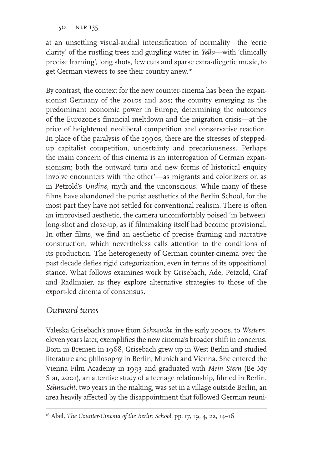at an unsettling visual-audial intensification of normality—the 'eerie clarity' of the rustling trees and gurgling water in *Yella*—with 'clinically precise framing', long shots, few cuts and sparse extra-diegetic music, to get German viewers to see their country anew.16

By contrast, the context for the new counter-cinema has been the expansionist Germany of the 2010s and 20s; the country emerging as the predominant economic power in Europe, determining the outcomes of the Eurozone's financial meltdown and the migration crisis—at the price of heightened neoliberal competition and conservative reaction. In place of the paralysis of the 1990s, there are the stresses of steppedup capitalist competition, uncertainty and precariousness. Perhaps the main concern of this cinema is an interrogation of German expansionism; both the outward turn and new forms of historical enquiry involve encounters with 'the other'—as migrants and colonizers or, as in Petzold's *Undine*, myth and the unconscious. While many of these films have abandoned the purist aesthetics of the Berlin School, for the most part they have not settled for conventional realism. There is often an improvised aesthetic, the camera uncomfortably poised 'in between' long-shot and close-up, as if filmmaking itself had become provisional. In other films, we find an aesthetic of precise framing and narrative construction, which nevertheless calls attention to the conditions of its production. The heterogeneity of German counter-cinema over the past decade defies rigid categorization, even in terms of its oppositional stance. What follows examines work by Grisebach, Ade, Petzold, Graf and Radlmaier, as they explore alternative strategies to those of the export-led cinema of consensus.

### *Outward turns*

Valeska Grisebach's move from *Sehnsucht*, in the early 2000s, to *Western*, eleven years later, exemplifies the new cinema's broader shift in concerns. Born in Bremen in 1968, Grisebach grew up in West Berlin and studied literature and philosophy in Berlin, Munich and Vienna. She entered the Vienna Film Academy in 1993 and graduated with *Mein Stern* (Be My Star, 2001), an attentive study of a teenage relationship, filmed in Berlin. *Sehnsucht*, two years in the making, was set in a village outside Berlin, an area heavily affected by the disappointment that followed German reuni-

<sup>16</sup> Abel, *The Counter-Cinema of the Berlin School*, pp. 17, 19, 4, 22, 14–16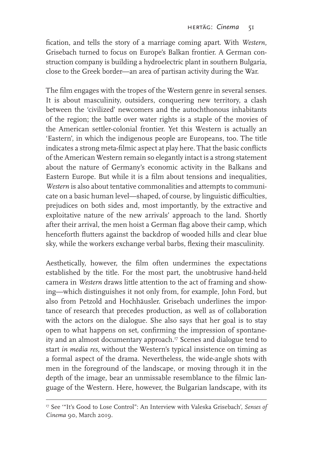fication, and tells the story of a marriage coming apart. With *Western*, Grisebach turned to focus on Europe's Balkan frontier. A German construction company is building a hydroelectric plant in southern Bulgaria, close to the Greek border—an area of partisan activity during the War.

The film engages with the tropes of the Western genre in several senses. It is about masculinity, outsiders, conquering new territory, a clash between the 'civilized' newcomers and the autochthonous inhabitants of the region; the battle over water rights is a staple of the movies of the American settler-colonial frontier. Yet this Western is actually an 'Eastern', in which the indigenous people are Europeans, too. The title indicates a strong meta-filmic aspect at play here. That the basic conflicts of the American Western remain so elegantly intact is a strong statement about the nature of Germany's economic activity in the Balkans and Eastern Europe. But while it is a film about tensions and inequalities, *Western* is also about tentative commonalities and attempts to communicate on a basic human level—shaped, of course, by linguistic difficulties, prejudices on both sides and, most importantly, by the extractive and exploitative nature of the new arrivals' approach to the land. Shortly after their arrival, the men hoist a German flag above their camp, which henceforth flutters against the backdrop of wooded hills and clear blue sky, while the workers exchange verbal barbs, flexing their masculinity.

Aesthetically, however, the film often undermines the expectations established by the title. For the most part, the unobtrusive hand-held camera in *Western* draws little attention to the act of framing and showing—which distinguishes it not only from, for example, John Ford, but also from Petzold and Hochhäusler. Grisebach underlines the importance of research that precedes production, as well as of collaboration with the actors on the dialogue. She also says that her goal is to stay open to what happens on set, confirming the impression of spontaneity and an almost documentary approach. $\overline{v}$  Scenes and dialogue tend to start *in media res*, without the Western's typical insistence on timing as a formal aspect of the drama. Nevertheless, the wide-angle shots with men in the foreground of the landscape, or moving through it in the depth of the image, bear an unmissable resemblance to the filmic language of the Western. Here, however, the Bulgarian landscape, with its

<sup>17</sup> See '"It's Good to Lose Control": An Interview with Valeska Grisebach', *Senses of Cinema* 90, March 2019*.*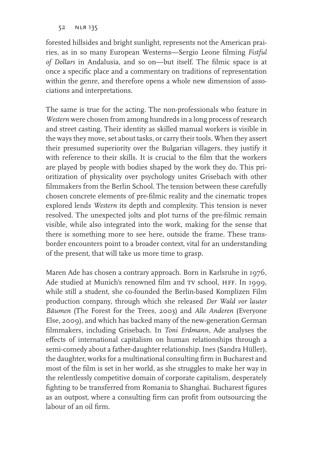forested hillsides and bright sunlight, represents not the American prairies, as in so many European Westerns—Sergio Leone filming *Fistful of Dollars* in Andalusia, and so on—but itself. The filmic space is at once a specific place and a commentary on traditions of representation within the genre, and therefore opens a whole new dimension of associations and interpretations.

The same is true for the acting. The non-professionals who feature in *Western* were chosen from among hundreds in a long process of research and street casting. Their identity as skilled manual workers is visible in the ways they move, set about tasks, or carry their tools. When they assert their presumed superiority over the Bulgarian villagers, they justify it with reference to their skills. It is crucial to the film that the workers are played by people with bodies shaped by the work they do. This prioritization of physicality over psychology unites Grisebach with other filmmakers from the Berlin School. The tension between these carefully chosen concrete elements of pre-filmic reality and the cinematic tropes explored lends *Western* its depth and complexity. This tension is never resolved. The unexpected jolts and plot turns of the pre-filmic remain visible, while also integrated into the work, making for the sense that there is something more to see here, outside the frame. These transborder encounters point to a broader context, vital for an understanding of the present, that will take us more time to grasp.

Maren Ade has chosen a contrary approach. Born in Karlsruhe in 1976, Ade studied at Munich's renowned film and TV school, HFF. In 1999, while still a student, she co-founded the Berlin-based Komplizen Film production company, through which she released *Der Wald vor lauter Bäumen* (The Forest for the Trees, 2003) and *Alle Anderen* (Everyone Else, 2009), and which has backed many of the new-generation German filmmakers, including Grisebach. In *Toni Erdmann*, Ade analyses the effects of international capitalism on human relationships through a semi-comedy about a father-daughter relationship. Ines (Sandra Hüller), the daughter, works for a multinational consulting firm in Bucharest and most of the film is set in her world, as she struggles to make her way in the relentlessly competitive domain of corporate capitalism, desperately fighting to be transferred from Romania to Shanghai. Bucharest figures as an outpost, where a consulting firm can profit from outsourcing the labour of an oil firm.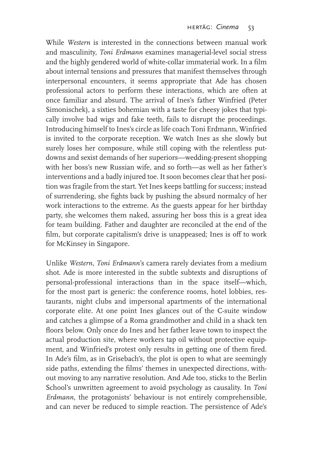While *Western* is interested in the connections between manual work and masculinity, *Toni Erdmann* examines managerial-level social stress and the highly gendered world of white-collar immaterial work. In a film about internal tensions and pressures that manifest themselves through interpersonal encounters, it seems appropriate that Ade has chosen professional actors to perform these interactions, which are often at once familiar and absurd. The arrival of Ines's father Winfried (Peter Simonischek), a sixties bohemian with a taste for cheesy jokes that typically involve bad wigs and fake teeth, fails to disrupt the proceedings. Introducing himself to Ines's circle as life coach Toni Erdmann, Winfried is invited to the corporate reception. We watch Ines as she slowly but surely loses her composure, while still coping with the relentless putdowns and sexist demands of her superiors—wedding-present shopping with her boss's new Russian wife, and so forth—as well as her father's interventions and a badly injured toe. It soon becomes clear that her position was fragile from the start. Yet Ines keeps battling for success; instead of surrendering, she fights back by pushing the absurd normalcy of her work interactions to the extreme. As the guests appear for her birthday party, she welcomes them naked, assuring her boss this is a great idea for team building. Father and daughter are reconciled at the end of the film, but corporate capitalism's drive is unappeased; Ines is off to work for McKinsey in Singapore.

Unlike *Western*, *Toni Erdmann*'s camera rarely deviates from a medium shot. Ade is more interested in the subtle subtexts and disruptions of personal-professional interactions than in the space itself—which, for the most part is generic: the conference rooms, hotel lobbies, restaurants, night clubs and impersonal apartments of the international corporate elite. At one point Ines glances out of the C-suite window and catches a glimpse of a Roma grandmother and child in a shack ten floors below. Only once do Ines and her father leave town to inspect the actual production site, where workers tap oil without protective equipment, and Winfried's protest only results in getting one of them fired. In Ade's film, as in Grisebach's, the plot is open to what are seemingly side paths, extending the films' themes in unexpected directions, without moving to any narrative resolution. And Ade too, sticks to the Berlin School's unwritten agreement to avoid psychology as causality. In *Toni Erdmann*, the protagonists' behaviour is not entirely comprehensible, and can never be reduced to simple reaction. The persistence of Ade's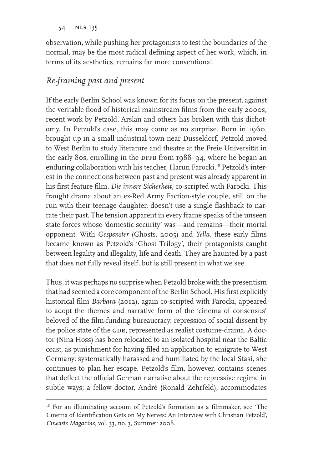observation, while pushing her protagonists to test the boundaries of the normal, may be the most radical defining aspect of her work, which, in terms of its aesthetics, remains far more conventional.

# *Re-framing past and present*

If the early Berlin School was known for its focus on the present, against the veritable flood of historical mainstream films from the early 2000s, recent work by Petzold, Arslan and others has broken with this dichotomy. In Petzold's case, this may come as no surprise. Born in 1960, brought up in a small industrial town near Dusseldorf, Petzold moved to West Berlin to study literature and theatre at the Freie Universität in the early 80s, enrolling in the DFFB from  $1988-94$ , where he began an enduring collaboration with his teacher, Harun Farocki.<sup>18</sup> Petzold's interest in the connections between past and present was already apparent in his first feature film, *Die innere Sicherheit*, co-scripted with Farocki. This fraught drama about an ex-Red Army Faction-style couple, still on the run with their teenage daughter, doesn't use a single flashback to narrate their past. The tension apparent in every frame speaks of the unseen state forces whose 'domestic security' was—and remains—their mortal opponent. With *Gespenster* (Ghosts, 2005) and *Yella*, these early films became known as Petzold's 'Ghost Trilogy', their protagonists caught between legality and illegality, life and death. They are haunted by a past that does not fully reveal itself, but is still present in what we see.

Thus, it was perhaps no surprise when Petzold broke with the presentism that had seemed a core component of the Berlin School. His first explicitly historical film *Barbara* (2012), again co-scripted with Farocki, appeared to adopt the themes and narrative form of the 'cinema of consensus' beloved of the film-funding bureaucracy: repression of social dissent by the police state of the GDR, represented as realist costume-drama. A doctor (Nina Hoss) has been relocated to an isolated hospital near the Baltic coast, as punishment for having filed an application to emigrate to West Germany; systematically harassed and humiliated by the local Stasi, she continues to plan her escape. Petzold's film, however, contains scenes that deflect the official German narrative about the repressive regime in subtle ways; a fellow doctor, André (Ronald Zehrfeld), accommodates

<sup>&</sup>lt;sup>18</sup> For an illuminating account of Petzold's formation as a filmmaker, see 'The Cinema of Identification Gets on My Nerves: An Interview with Christian Petzold', *Cineaste Magazine,* vol. 33, no. 3, Summer 2008.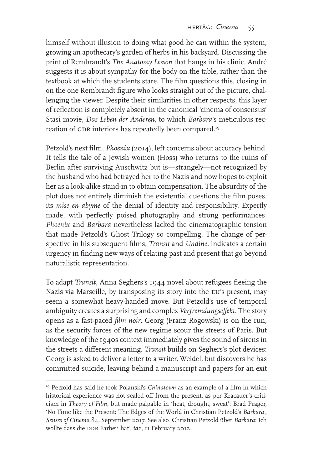himself without illusion to doing what good he can within the system, growing an apothecary's garden of herbs in his backyard. Discussing the print of Rembrandt's *The Anatomy Lesson* that hangs in his clinic, André suggests it is about sympathy for the body on the table, rather than the textbook at which the students stare. The film questions this, closing in on the one Rembrandt figure who looks straight out of the picture, challenging the viewer. Despite their similarities in other respects, this layer of reflection is completely absent in the canonical 'cinema of consensus' Stasi movie, *Das Leben der Anderen*, to which *Barbara*'s meticulous recreation of GDR interiors has repeatedly been compared.<sup>19</sup>

Petzold's next film, *Phoenix* (2014), left concerns about accuracy behind. It tells the tale of a Jewish women (Hoss) who returns to the ruins of Berlin after surviving Auschwitz but is—strangely—not recognized by the husband who had betrayed her to the Nazis and now hopes to exploit her as a look-alike stand-in to obtain compensation. The absurdity of the plot does not entirely diminish the existential questions the film poses, its *mise en abyme* of the denial of identity and responsibility. Expertly made, with perfectly poised photography and strong performances, *Phoenix* and *Barbara* nevertheless lacked the cinematographic tension that made Petzold's Ghost Trilogy so compelling. The change of perspective in his subsequent films, *Transit* and *Undine*, indicates a certain urgency in finding new ways of relating past and present that go beyond naturalistic representation.

To adapt *Transit*, Anna Seghers's 1944 novel about refugees fleeing the Nazis via Marseille, by transposing its story into the EU's present, may seem a somewhat heavy-handed move. But Petzold's use of temporal ambiguity creates a surprising and complex *Verfremdungseffekt*. The story opens as a fast-paced *film noir*. Georg (Franz Rogowski) is on the run, as the security forces of the new regime scour the streets of Paris. But knowledge of the 1940s context immediately gives the sound of sirens in the streets a different meaning. *Transit* builds on Seghers's plot devices: Georg is asked to deliver a letter to a writer, Weidel, but discovers he has committed suicide, leaving behind a manuscript and papers for an exit

<sup>19</sup> Petzold has said he took Polanski's *Chinatown* as an example of a film in which historical experience was not sealed off from the present, as per Kracauer's criticism in *Theory of Film*, but made palpable in 'heat, drought, sweat': Brad Prager, 'No Time like the Present: The Edges of the World in Christian Petzold's *Barbara*', *Senses of Cinema* 84, September 2017. See also 'Christian Petzold über *Barbara*: Ich wollte dass die DDR Farben hat', *taz*, 11 February 2012.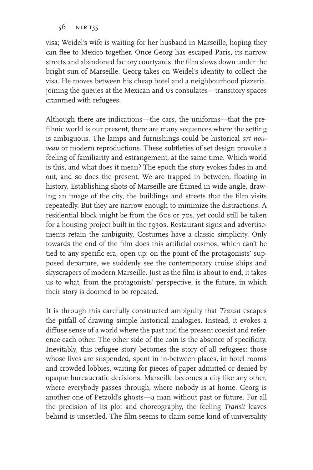visa; Weidel's wife is waiting for her husband in Marseille, hoping they can flee to Mexico together. Once Georg has escaped Paris, its narrow streets and abandoned factory courtyards, the film slows down under the bright sun of Marseille. Georg takes on Weidel's identity to collect the visa. He moves between his cheap hotel and a neighbourhood pizzeria, joining the queues at the Mexican and us consulates—transitory spaces crammed with refugees.

Although there are indications—the cars, the uniforms—that the prefilmic world is our present, there are many sequences where the setting is ambiguous. The lamps and furnishings could be historical *art nouveau* or modern reproductions. These subtleties of set design provoke a feeling of familiarity and estrangement, at the same time. Which world is this, and what does it mean? The epoch the story evokes fades in and out, and so does the present. We are trapped in between, floating in history. Establishing shots of Marseille are framed in wide angle, drawing an image of the city, the buildings and streets that the film visits repeatedly. But they are narrow enough to minimize the distractions. A residential block might be from the 60s or 70s, yet could still be taken for a housing project built in the 1930s. Restaurant signs and advertisements retain the ambiguity. Costumes have a classic simplicity. Only towards the end of the film does this artificial cosmos, which can't be tied to any specific era, open up: on the point of the protagonists' supposed departure, we suddenly see the contemporary cruise ships and skyscrapers of modern Marseille. Just as the film is about to end, it takes us to what, from the protagonists' perspective, is the future, in which their story is doomed to be repeated.

It is through this carefully constructed ambiguity that *Transit* escapes the pitfall of drawing simple historical analogies. Instead, it evokes a diffuse sense of a world where the past and the present coexist and reference each other. The other side of the coin is the absence of specificity. Inevitably, this refugee story becomes the story of all refugees: those whose lives are suspended, spent in in-between places, in hotel rooms and crowded lobbies, waiting for pieces of paper admitted or denied by opaque bureaucratic decisions. Marseille becomes a city like any other, where everybody passes through, where nobody is at home. Georg is another one of Petzold's ghosts—a man without past or future. For all the precision of its plot and choreography, the feeling *Transit* leaves behind is unsettled. The film seems to claim some kind of universality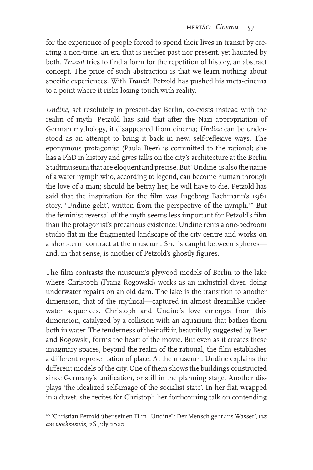for the experience of people forced to spend their lives in transit by creating a non-time, an era that is neither past nor present, yet haunted by both. *Transit* tries to find a form for the repetition of history, an abstract concept. The price of such abstraction is that we learn nothing about specific experiences. With *Transit*, Petzold has pushed his meta-cinema to a point where it risks losing touch with reality.

*Undine*, set resolutely in present-day Berlin, co-exists instead with the realm of myth. Petzold has said that after the Nazi appropriation of German mythology, it disappeared from cinema; *Undine* can be understood as an attempt to bring it back in new, self-reflexive ways. The eponymous protagonist (Paula Beer) is committed to the rational; she has a PhD in history and gives talks on the city's architecture at the Berlin Stadtmuseum that are eloquent and precise. But 'Undine' is also the name of a water nymph who, according to legend, can become human through the love of a man; should he betray her, he will have to die. Petzold has said that the inspiration for the film was Ingeborg Bachmann's 1961 story, 'Undine geht', written from the perspective of the nymph.<sup>20</sup> But the feminist reversal of the myth seems less important for Petzold's film than the protagonist's precarious existence: Undine rents a one-bedroom studio flat in the fragmented landscape of the city centre and works on a short-term contract at the museum. She is caught between spheres and, in that sense, is another of Petzold's ghostly figures.

The film contrasts the museum's plywood models of Berlin to the lake where Christoph (Franz Rogowski) works as an industrial diver, doing underwater repairs on an old dam. The lake is the transition to another dimension, that of the mythical—captured in almost dreamlike underwater sequences. Christoph and Undine's love emerges from this dimension, catalyzed by a collision with an aquarium that bathes them both in water. The tenderness of their affair, beautifully suggested by Beer and Rogowski, forms the heart of the movie. But even as it creates these imaginary spaces, beyond the realm of the rational, the film establishes a different representation of place. At the museum, Undine explains the different models of the city. One of them shows the buildings constructed since Germany's unification, or still in the planning stage. Another displays 'the idealized self-image of the socialist state'. In her flat, wrapped in a duvet, she recites for Christoph her forthcoming talk on contending

<sup>20 &#</sup>x27;Christian Petzold über seinen Film "Undine": Der Mensch geht ans Wasser', *taz am wochenende,* 26 July 2020.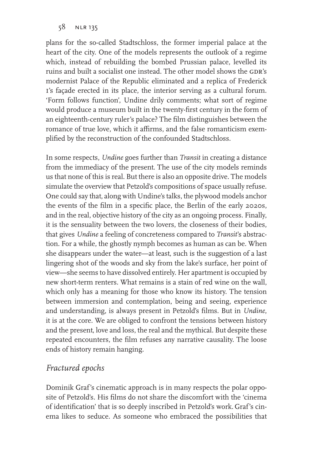plans for the so-called Stadtschloss, the former imperial palace at the heart of the city. One of the models represents the outlook of a regime which, instead of rebuilding the bombed Prussian palace, levelled its ruins and built a socialist one instead. The other model shows the GDR's modernist Palace of the Republic eliminated and a replica of Frederick I's façade erected in its place, the interior serving as a cultural forum. 'Form follows function', Undine drily comments; what sort of regime would produce a museum built in the twenty-first century in the form of an eighteenth-century ruler's palace? The film distinguishes between the romance of true love, which it affirms, and the false romanticism exemplified by the reconstruction of the confounded Stadtschloss.

In some respects, *Undine* goes further than *Transit* in creating a distance from the immediacy of the present. The use of the city models reminds us that none of this is real. But there is also an opposite drive. The models simulate the overview that Petzold's compositions of space usually refuse. One could say that, along with Undine's talks, the plywood models anchor the events of the film in a specific place, the Berlin of the early 2020s, and in the real, objective history of the city as an ongoing process. Finally, it is the sensuality between the two lovers, the closeness of their bodies, that gives *Undine* a feeling of concreteness compared to *Transit*'s abstraction. For a while, the ghostly nymph becomes as human as can be. When she disappears under the water—at least, such is the suggestion of a last lingering shot of the woods and sky from the lake's surface, her point of view—she seems to have dissolved entirely. Her apartment is occupied by new short-term renters. What remains is a stain of red wine on the wall, which only has a meaning for those who know its history. The tension between immersion and contemplation, being and seeing, experience and understanding, is always present in Petzold's films. But in *Undine*, it is at the core. We are obliged to confront the tensions between history and the present, love and loss, the real and the mythical. But despite these repeated encounters, the film refuses any narrative causality. The loose ends of history remain hanging.

#### *Fractured epochs*

Dominik Graf's cinematic approach is in many respects the polar opposite of Petzold's. His films do not share the discomfort with the 'cinema of identification' that is so deeply inscribed in Petzold's work.Graf's cinema likes to seduce. As someone who embraced the possibilities that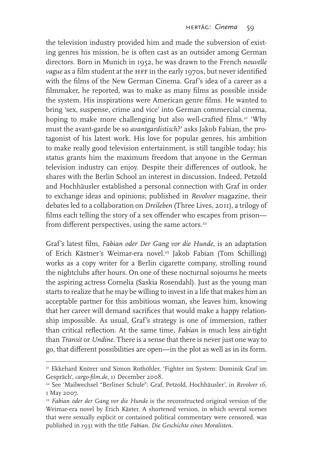the television industry provided him and made the subversion of existing genres his mission, he is often cast as an outsider among German directors. Born in Munich in 1952, he was drawn to the French *nouvelle vague* as a film student at the HFF in the early 1970s, but never identified with the films of the New German Cinema. Graf's idea of a career as a filmmaker, he reported, was to make as many films as possible inside the system. His inspirations were American genre films. He wanted to bring 'sex, suspense, crime and vice' into German commercial cinema, hoping to make more challenging but also well-crafted films.<sup>21</sup> 'Why must the avant-garde be so *avantgardistisch*?' asks Jakob Fabian, the protagonist of his latest work. His love for popular genres, his ambition to make really good television entertainment, is still tangible today; his status grants him the maximum freedom that anyone in the German television industry can enjoy. Despite their differences of outlook, he shares with the Berlin School an interest in discussion. Indeed, Petzold and Hochhäusler established a personal connection with Graf in order to exchange ideas and opinions; published in *Revolver* magazine, their debates led to a collaboration on *Dreileben* (Three Lives, 2011), a trilogy of films each telling the story of a sex offender who escapes from prison from different perspectives, using the same actors.<sup>22</sup>

Graf's latest film, *Fabian oder Der Gang vor die Hunde*, is an adaptation of Erich Kästner's Weimar-era novel.<sup>23</sup> Jakob Fabian (Tom Schilling) works as a copy writer for a Berlin cigarette company, strolling round the nightclubs after hours. On one of these nocturnal sojourns he meets the aspiring actress Cornelia (Saskia Rosendahl). Just as the young man starts to realize that he may be willing to invest in a life that makes him an acceptable partner for this ambitious woman, she leaves him, knowing that her career will demand sacrifices that would make a happy relationship impossible. As usual, Graf's strategy is one of immersion, rather than critical reflection. At the same time, *Fabian* is much less air-tight than *Transit* or *Undine*. There is a sense that there is never just one way to go, that different possibilities are open—in the plot as well as in its form.

<sup>21</sup> Ekkehard Knörer und Simon Rothöhler, 'Fighter im System: Dominik Graf im Gespräch', *cargo-film.de*, 11 December 2008.

<sup>22</sup> See 'Mailwechsel "Berliner Schule": Graf, Petzold, Hochhäusler', in *Revolver 16*, 1 May 2007.

<sup>23</sup> *Fabian oder der Gang vor die Hunde* is the reconstructed original version of the Weimar-era novel by Erich Käster. A shortened version, in which several scenes that were sexually explicit or contained political commentary were censored, was published in 1931 with the title *Fabian. Die Geschichte eines Moralisten*.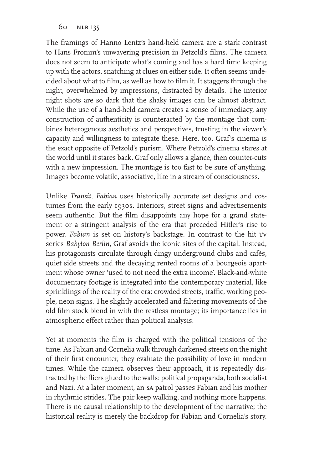The framings of Hanno Lentz's hand-held camera are a stark contrast to Hans Fromm's unwavering precision in Petzold's films. The camera does not seem to anticipate what's coming and has a hard time keeping up with the actors, snatching at clues on either side. It often seems undecided about what to film, as well as how to film it. It staggers through the night, overwhelmed by impressions, distracted by details. The interior night shots are so dark that the shaky images can be almost abstract. While the use of a hand-held camera creates a sense of immediacy, any construction of authenticity is counteracted by the montage that combines heterogenous aesthetics and perspectives, trusting in the viewer's capacity and willingness to integrate these. Here, too, Graf's cinema is the exact opposite of Petzold's purism. Where Petzold's cinema stares at the world until it stares back, Graf only allows a glance, then counter-cuts with a new impression. The montage is too fast to be sure of anything. Images become volatile, associative, like in a stream of consciousness.

Unlike *Transit*, *Fabian* uses historically accurate set designs and costumes from the early 1930s. Interiors, street signs and advertisements seem authentic. But the film disappoints any hope for a grand statement or a stringent analysis of the era that preceded Hitler's rise to power. *Fabian* is set on history's backstage. In contrast to the hit tv series *Babylon Berlin*, Graf avoids the iconic sites of the capital. Instead, his protagonists circulate through dingy underground clubs and cafés, quiet side streets and the decaying rented rooms of a bourgeois apartment whose owner 'used to not need the extra income'. Black-and-white documentary footage is integrated into the contemporary material, like sprinklings of the reality of the era: crowded streets, traffic, working people, neon signs. The slightly accelerated and faltering movements of the old film stock blend in with the restless montage; its importance lies in atmospheric effect rather than political analysis.

Yet at moments the film is charged with the political tensions of the time. As Fabian and Cornelia walk through darkened streets on the night of their first encounter, they evaluate the possibility of love in modern times. While the camera observes their approach, it is repeatedly distracted by the fliers glued to the walls: political propaganda, both socialist and Nazi. At a later moment, an sa patrol passes Fabian and his mother in rhythmic strides. The pair keep walking, and nothing more happens. There is no causal relationship to the development of the narrative; the historical reality is merely the backdrop for Fabian and Cornelia's story.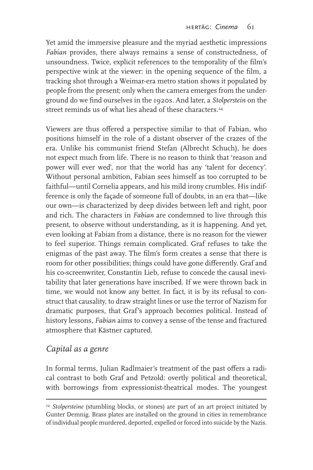Yet amid the immersive pleasure and the myriad aesthetic impressions *Fabian* provides, there always remains a sense of constructedness, of unsoundness. Twice, explicit references to the temporality of the film's perspective wink at the viewer: in the opening sequence of the film, a tracking shot through a Weimar-era metro station shows it populated by people from the present; only when the camera emerges from the underground do we find ourselves in the 1920s. And later, a *Stolperstein* on the street reminds us of what lies ahead of these characters<sup>24</sup>

Viewers are thus offered a perspective similar to that of Fabian, who positions himself in the role of a distant observer of the crazes of the era. Unlike his communist friend Stefan (Albrecht Schuch), he does not expect much from life. There is no reason to think that 'reason and power will ever wed', nor that the world has any 'talent for decency'. Without personal ambition, Fabian sees himself as too corrupted to be faithful—until Cornelia appears, and his mild irony crumbles. His indifference is only the façade of someone full of doubts, in an era that—like our own—is characterized by deep divides between left and right, poor and rich. The characters in *Fabian* are condemned to live through this present, to observe without understanding, as it is happening. And yet, even looking at Fabian from a distance, there is no reason for the viewer to feel superior. Things remain complicated. Graf refuses to take the enigmas of the past away. The film's form creates a sense that there is room for other possibilities; things could have gone differently. Graf and his co-screenwriter, Constantin Lieb, refuse to concede the causal inevitability that later generations have inscribed. If we were thrown back in time, we would not know any better. In fact, it is by its refusal to construct that causality, to draw straight lines or use the terror of Nazism for dramatic purposes, that Graf's approach becomes political. Instead of history lessons, *Fabian* aims to convey a sense of the tense and fractured atmosphere that Kästner captured.

#### *Capital as a genre*

In formal terms, Julian Radlmaier's treatment of the past offers a radical contrast to both Graf and Petzold: overtly political and theoretical, with borrowings from expressionist-theatrical modes. The youngest

<sup>&</sup>lt;sup>24</sup> *Stolpersteine* (stumbling blocks, or stones) are part of an art project initiated by Gunter Demnig. Brass plates are installed on the ground in cities in remembrance of individual people murdered, deported, expelled or forced into suicide by the Nazis.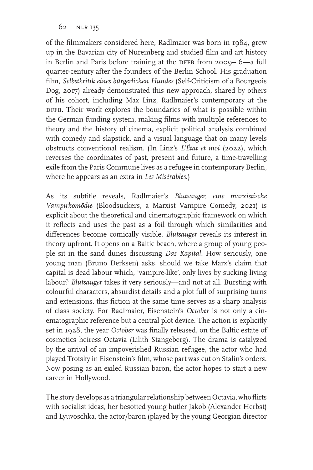of the filmmakers considered here, Radlmaier was born in 1984, grew up in the Bavarian city of Nuremberg and studied film and art history in Berlin and Paris before training at the DFFB from 2009–16—a full quarter-century after the founders of the Berlin School. His graduation film, *Selbstkritik eines bürgerlichen Hundes* (Self-Criticism of a Bourgeois Dog, 2017) already demonstrated this new approach, shared by others of his cohort, including Max Linz, Radlmaier's contemporary at the DFFB. Their work explores the boundaries of what is possible within the German funding system, making films with multiple references to theory and the history of cinema, explicit political analysis combined with comedy and slapstick, and a visual language that on many levels obstructs conventional realism. (In Linz's *L'État et moi* (2022), which reverses the coordinates of past, present and future, a time-travelling exile from the Paris Commune lives as a refugee in contemporary Berlin, where he appears as an extra in *Les Misérables*.)

As its subtitle reveals, Radlmaier's *Blutsauger, eine marxistische Vampirkomödie* (Bloodsuckers, a Marxist Vampire Comedy, 2021) is explicit about the theoretical and cinematographic framework on which it reflects and uses the past as a foil through which similarities and differences become comically visible. *Blutsauger* reveals its interest in theory upfront. It opens on a Baltic beach, where a group of young people sit in the sand dunes discussing *Das Kapital*. How seriously, one young man (Bruno Derksen) asks, should we take Marx's claim that capital is dead labour which, 'vampire-like', only lives by sucking living labour? *Blutsauger* takes it very seriously—and not at all. Bursting with colourful characters, absurdist details and a plot full of surprising turns and extensions, this fiction at the same time serves as a sharp analysis of class society. For Radlmaier, Eisenstein's *October* is not only a cinematographic reference but a central plot device. The action is explicitly set in 1928, the year *October* was finally released, on the Baltic estate of cosmetics heiress Octavia (Lilith Stangeberg). The drama is catalyzed by the arrival of an impoverished Russian refugee, the actor who had played Trotsky in Eisenstein's film, whose part was cut on Stalin's orders. Now posing as an exiled Russian baron, the actor hopes to start a new career in Hollywood.

The story develops as a triangular relationship between Octavia, who flirts with socialist ideas, her besotted young butler Jakob (Alexander Herbst) and Lyuvoschka, the actor/baron (played by the young Georgian director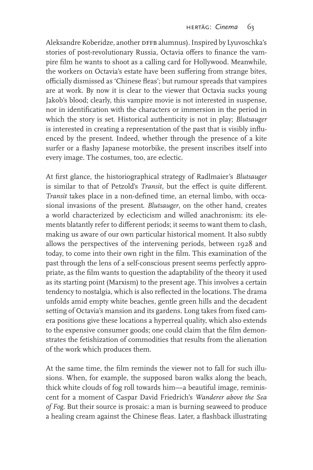Aleksandre Koberidze, another DFFB alumnus). Inspired by Lyuvoschka's stories of post-revolutionary Russia, Octavia offers to finance the vampire film he wants to shoot as a calling card for Hollywood. Meanwhile, the workers on Octavia's estate have been suffering from strange bites, officially dismissed as 'Chinese fleas'; but rumour spreads that vampires are at work. By now it is clear to the viewer that Octavia sucks young Jakob's blood; clearly, this vampire movie is not interested in suspense, nor in identification with the characters or immersion in the period in which the story is set. Historical authenticity is not in play; *Blutsauger* is interested in creating a representation of the past that is visibly influenced by the present. Indeed, whether through the presence of a kite surfer or a flashy Japanese motorbike, the present inscribes itself into every image. The costumes, too, are eclectic.

At first glance, the historiographical strategy of Radlmaier's *Blutsauger* is similar to that of Petzold's *Transit*, but the effect is quite different. *Transit* takes place in a non-defined time, an eternal limbo, with occasional invasions of the present. *Blutsauger*, on the other hand, creates a world characterized by eclecticism and willed anachronism: its elements blatantly refer to different periods; it seems to want them to clash, making us aware of our own particular historical moment. It also subtly allows the perspectives of the intervening periods, between 1928 and today, to come into their own right in the film. This examination of the past through the lens of a self-conscious present seems perfectly appropriate, as the film wants to question the adaptability of the theory it used as its starting point (Marxism) to the present age. This involves a certain tendency to nostalgia, which is also reflected in the locations. The drama unfolds amid empty white beaches, gentle green hills and the decadent setting of Octavia's mansion and its gardens. Long takes from fixed camera positions give these locations a hyperreal quality, which also extends to the expensive consumer goods; one could claim that the film demonstrates the fetishization of commodities that results from the alienation of the work which produces them.

At the same time, the film reminds the viewer not to fall for such illusions. When, for example, the supposed baron walks along the beach, thick white clouds of fog roll towards him—a beautiful image, reminiscent for a moment of Caspar David Friedrich's *Wanderer above the Sea of Fog*. But their source is prosaic: a man is burning seaweed to produce a healing cream against the Chinese fleas. Later, a flashback illustrating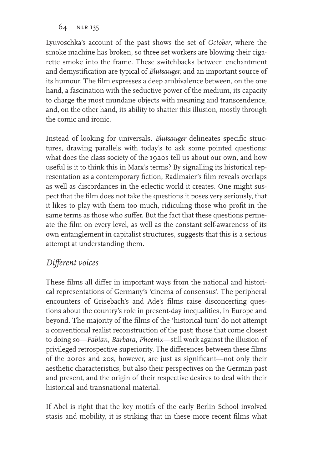Lyuvoschka's account of the past shows the set of *October*, where the smoke machine has broken, so three set workers are blowing their cigarette smoke into the frame. These switchbacks between enchantment and demystification are typical of *Blutsauger,* and an important source of its humour. The film expresses a deep ambivalence between, on the one hand, a fascination with the seductive power of the medium, its capacity to charge the most mundane objects with meaning and transcendence, and, on the other hand, its ability to shatter this illusion, mostly through the comic and ironic.

Instead of looking for universals, *Blutsauger* delineates specific structures, drawing parallels with today's to ask some pointed questions: what does the class society of the 1920s tell us about our own, and how useful is it to think this in Marx's terms? By signalling its historical representation as a contemporary fiction, Radlmaier's film reveals overlaps as well as discordances in the eclectic world it creates. One might suspect that the film does not take the questions it poses very seriously, that it likes to play with them too much, ridiculing those who profit in the same terms as those who suffer. But the fact that these questions permeate the film on every level, as well as the constant self-awareness of its own entanglement in capitalist structures, suggests that this is a serious attempt at understanding them.

# *Different voices*

These films all differ in important ways from the national and historical representations of Germany's 'cinema of consensus'. The peripheral encounters of Grisebach's and Ade's films raise disconcerting questions about the country's role in present-day inequalities, in Europe and beyond. The majority of the films of the 'historical turn' do not attempt a conventional realist reconstruction of the past; those that come closest to doing so—*Fabian*, *Barbara*, *Phoenix*—still work against the illusion of privileged retrospective superiority. The differences between these films of the 2010s and 20s, however, are just as significant—not only their aesthetic characteristics, but also their perspectives on the German past and present, and the origin of their respective desires to deal with their historical and transnational material.

If Abel is right that the key motifs of the early Berlin School involved stasis and mobility, it is striking that in these more recent films what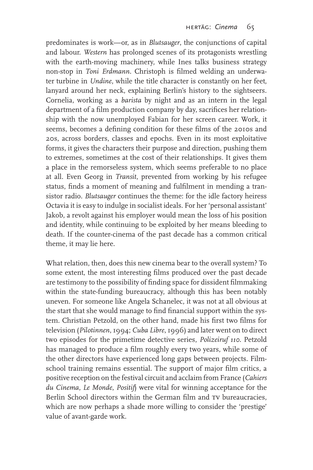predominates is work—or, as in *Blutsauger*, the conjunctions of capital and labour. *Western* has prolonged scenes of its protagonists wrestling with the earth-moving machinery, while Ines talks business strategy non-stop in *Toni Erdmann*. Christoph is filmed welding an underwater turbine in *Undine*, while the title character is constantly on her feet, lanyard around her neck, explaining Berlin's history to the sightseers. Cornelia, working as a *barista* by night and as an intern in the legal department of a film production company by day, sacrifices her relationship with the now unemployed Fabian for her screen career. Work, it seems, becomes a defining condition for these films of the 2010s and 20s, across borders, classes and epochs. Even in its most exploitative forms, it gives the characters their purpose and direction, pushing them to extremes, sometimes at the cost of their relationships. It gives them a place in the remorseless system, which seems preferable to no place at all. Even Georg in *Transit*, prevented from working by his refugee status, finds a moment of meaning and fulfilment in mending a transistor radio. *Blutsauger* continues the theme: for the idle factory heiress Octavia it is easy to indulge in socialist ideals. For her 'personal assistant' Jakob, a revolt against his employer would mean the loss of his position and identity, while continuing to be exploited by her means bleeding to death. If the counter-cinema of the past decade has a common critical theme, it may lie here.

What relation, then, does this new cinema bear to the overall system? To some extent, the most interesting films produced over the past decade are testimony to the possibility of finding space for dissident filmmaking within the state-funding bureaucracy, although this has been notably uneven. For someone like Angela Schanelec, it was not at all obvious at the start that she would manage to find financial support within the system. Christian Petzold, on the other hand, made his first two films for television (*Pilotinnen*, 1994; *Cuba Libre*, 1996) and later went on to direct two episodes for the primetime detective series, *Polizeiruf 110*. Petzold has managed to produce a film roughly every two years, while some of the other directors have experienced long gaps between projects. Filmschool training remains essential. The support of major film critics, a positive reception on the festival circuit and acclaim from France (*Cahiers du Cinema*, *Le Monde*, *Positif*) were vital for winning acceptance for the Berlin School directors within the German film and TV bureaucracies, which are now perhaps a shade more willing to consider the 'prestige' value of avant-garde work.